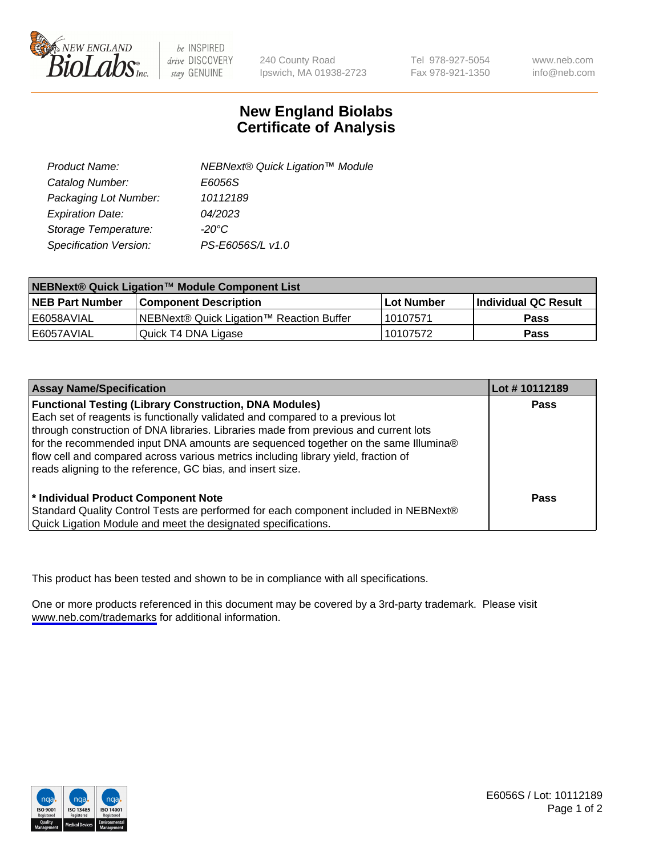

be INSPIRED drive DISCOVERY stay GENUINE

240 County Road Ipswich, MA 01938-2723 Tel 978-927-5054 Fax 978-921-1350

www.neb.com info@neb.com

## **New England Biolabs Certificate of Analysis**

| Product Name:           | NEBNext® Quick Ligation™ Module |
|-------------------------|---------------------------------|
| Catalog Number:         | E6056S                          |
| Packaging Lot Number:   | 10112189                        |
| <b>Expiration Date:</b> | 04/2023                         |
| Storage Temperature:    | $-20^{\circ}$ C                 |
| Specification Version:  | PS-E6056S/L v1.0                |

| NEBNext® Quick Ligation™ Module Component List |                                          |            |                             |  |
|------------------------------------------------|------------------------------------------|------------|-----------------------------|--|
| <b>NEB Part Number</b>                         | <b>Component Description</b>             | Lot Number | <b>Individual QC Result</b> |  |
| l E6058AVIAL                                   | NEBNext® Quick Ligation™ Reaction Buffer | 10107571   | <b>Pass</b>                 |  |
| l E6057AVIAL                                   | Quick T4 DNA Ligase                      | 10107572   | <b>Pass</b>                 |  |

| <b>Assay Name/Specification</b>                                                                                                                                                                                                                                                                                                                                                                                                                                                  | Lot #10112189 |
|----------------------------------------------------------------------------------------------------------------------------------------------------------------------------------------------------------------------------------------------------------------------------------------------------------------------------------------------------------------------------------------------------------------------------------------------------------------------------------|---------------|
| <b>Functional Testing (Library Construction, DNA Modules)</b><br>Each set of reagents is functionally validated and compared to a previous lot<br>through construction of DNA libraries. Libraries made from previous and current lots<br>for the recommended input DNA amounts are sequenced together on the same Illumina®<br>flow cell and compared across various metrics including library yield, fraction of<br>reads aligning to the reference, GC bias, and insert size. | <b>Pass</b>   |
| * Individual Product Component Note<br>Standard Quality Control Tests are performed for each component included in NEBNext®<br>Quick Ligation Module and meet the designated specifications.                                                                                                                                                                                                                                                                                     | Pass          |

This product has been tested and shown to be in compliance with all specifications.

One or more products referenced in this document may be covered by a 3rd-party trademark. Please visit <www.neb.com/trademarks>for additional information.